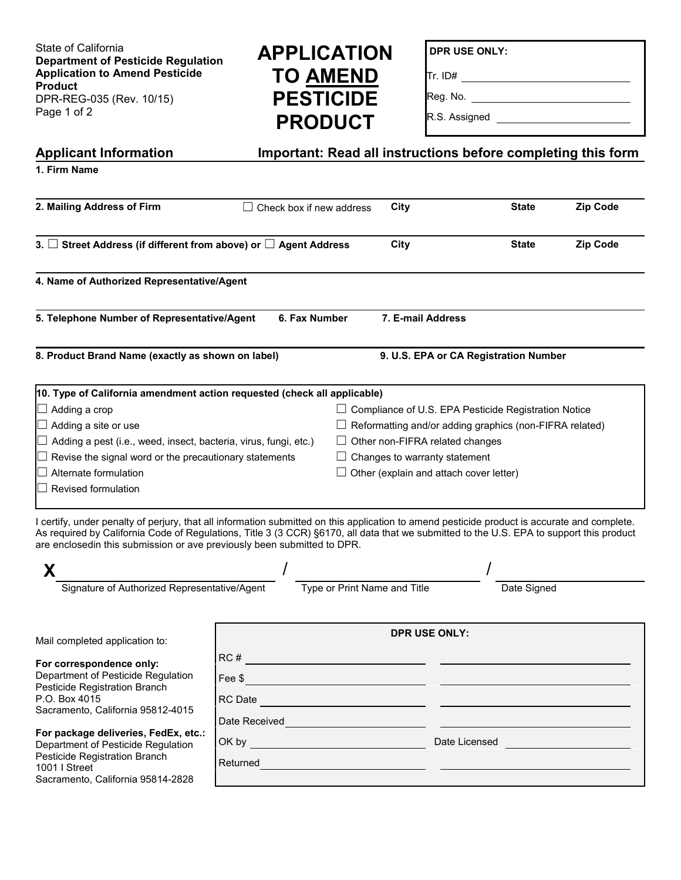State of California **Department of Pesticide Regulation Application to Amend Pesticide Product** DPR-REG-035 (Rev. 10/15) Page 1 of 2

## **APPLICATION TO AMEND PESTICIDE PRODUCT**

**DPR USE ONLY:**

Tr. ID#

Reg. No.

R.S. Assigned \_\_\_\_\_\_\_\_\_\_\_\_\_\_\_\_\_\_\_\_\_\_\_\_\_\_\_

| Important: Read all instructions before completing this form<br><b>Applicant Information</b>                                                                                                                                                                                                                                                                        |                                                                                                                                                                                                                                      |                                                |                                                                |          |
|---------------------------------------------------------------------------------------------------------------------------------------------------------------------------------------------------------------------------------------------------------------------------------------------------------------------------------------------------------------------|--------------------------------------------------------------------------------------------------------------------------------------------------------------------------------------------------------------------------------------|------------------------------------------------|----------------------------------------------------------------|----------|
| 1. Firm Name                                                                                                                                                                                                                                                                                                                                                        |                                                                                                                                                                                                                                      |                                                |                                                                |          |
| 2. Mailing Address of Firm                                                                                                                                                                                                                                                                                                                                          | Check box if new address                                                                                                                                                                                                             | City                                           | <b>State</b>                                                   | Zip Code |
| 3. $\Box$ Street Address (if different from above) or $\Box$ Agent Address                                                                                                                                                                                                                                                                                          |                                                                                                                                                                                                                                      | City                                           | <b>State</b>                                                   | Zip Code |
| 4. Name of Authorized Representative/Agent                                                                                                                                                                                                                                                                                                                          |                                                                                                                                                                                                                                      |                                                |                                                                |          |
| 5. Telephone Number of Representative/Agent                                                                                                                                                                                                                                                                                                                         | 6. Fax Number                                                                                                                                                                                                                        | 7. E-mail Address                              |                                                                |          |
| 8. Product Brand Name (exactly as shown on label)                                                                                                                                                                                                                                                                                                                   |                                                                                                                                                                                                                                      | 9. U.S. EPA or CA Registration Number          |                                                                |          |
| 10. Type of California amendment action requested (check all applicable)                                                                                                                                                                                                                                                                                            |                                                                                                                                                                                                                                      |                                                |                                                                |          |
| $\Box$ Adding a crop                                                                                                                                                                                                                                                                                                                                                |                                                                                                                                                                                                                                      |                                                | $\Box$ Compliance of U.S. EPA Pesticide Registration Notice    |          |
| $\Box$ Adding a site or use                                                                                                                                                                                                                                                                                                                                         |                                                                                                                                                                                                                                      |                                                | $\Box$ Reformatting and/or adding graphics (non-FIFRA related) |          |
| Adding a pest (i.e., weed, insect, bacteria, virus, fungi, etc.)                                                                                                                                                                                                                                                                                                    |                                                                                                                                                                                                                                      | $\Box$ Other non-FIFRA related changes         |                                                                |          |
| Revise the signal word or the precautionary statements                                                                                                                                                                                                                                                                                                              |                                                                                                                                                                                                                                      | $\Box$ Changes to warranty statement           |                                                                |          |
| Alternate formulation                                                                                                                                                                                                                                                                                                                                               |                                                                                                                                                                                                                                      | $\Box$ Other (explain and attach cover letter) |                                                                |          |
| Revised formulation                                                                                                                                                                                                                                                                                                                                                 |                                                                                                                                                                                                                                      |                                                |                                                                |          |
|                                                                                                                                                                                                                                                                                                                                                                     |                                                                                                                                                                                                                                      |                                                |                                                                |          |
| I certify, under penalty of perjury, that all information submitted on this application to amend pesticide product is accurate and complete.<br>As required by California Code of Regulations, Title 3 (3 CCR) §6170, all data that we submitted to the U.S. EPA to support this product<br>are enclosedin this submission or ave previously been submitted to DPR. |                                                                                                                                                                                                                                      |                                                |                                                                |          |
|                                                                                                                                                                                                                                                                                                                                                                     |                                                                                                                                                                                                                                      |                                                |                                                                |          |
| Signature of Authorized Representative/Agent                                                                                                                                                                                                                                                                                                                        | Type or Print Name and Title                                                                                                                                                                                                         |                                                | Date Signed                                                    |          |
| Mail completed application to:                                                                                                                                                                                                                                                                                                                                      | <b>DPR USE ONLY:</b>                                                                                                                                                                                                                 |                                                |                                                                |          |
|                                                                                                                                                                                                                                                                                                                                                                     | RC#                                                                                                                                                                                                                                  |                                                |                                                                |          |
| For correspondence only:<br>Department of Pesticide Regulation                                                                                                                                                                                                                                                                                                      |                                                                                                                                                                                                                                      |                                                |                                                                |          |
| Pesticide Registration Branch                                                                                                                                                                                                                                                                                                                                       | Fee \$ $\overline{\phantom{a}}$                                                                                                                                                                                                      |                                                |                                                                |          |
| P.O. Box 4015<br>Sacramento, California 95812-4015                                                                                                                                                                                                                                                                                                                  | RC Date and the contract of the contract of the contract of the contract of the contract of the contract of the                                                                                                                      |                                                |                                                                |          |
| For package deliveries, FedEx, etc.:                                                                                                                                                                                                                                                                                                                                | Date Received <b>Exercise Service Contract Contract Contract Contract Contract Contract Contract Contract Contract Contract Contract Contract Contract Contract Contract Contract Contract Contract Contract Contract Contract C</b> |                                                |                                                                |          |
|                                                                                                                                                                                                                                                                                                                                                                     |                                                                                                                                                                                                                                      |                                                |                                                                |          |
| Department of Pesticide Regulation<br>Pesticide Registration Branch                                                                                                                                                                                                                                                                                                 |                                                                                                                                                                                                                                      |                                                |                                                                |          |
| 1001   Street                                                                                                                                                                                                                                                                                                                                                       |                                                                                                                                                                                                                                      |                                                |                                                                |          |
| Sacramento, California 95814-2828                                                                                                                                                                                                                                                                                                                                   |                                                                                                                                                                                                                                      |                                                |                                                                |          |
|                                                                                                                                                                                                                                                                                                                                                                     |                                                                                                                                                                                                                                      |                                                |                                                                |          |